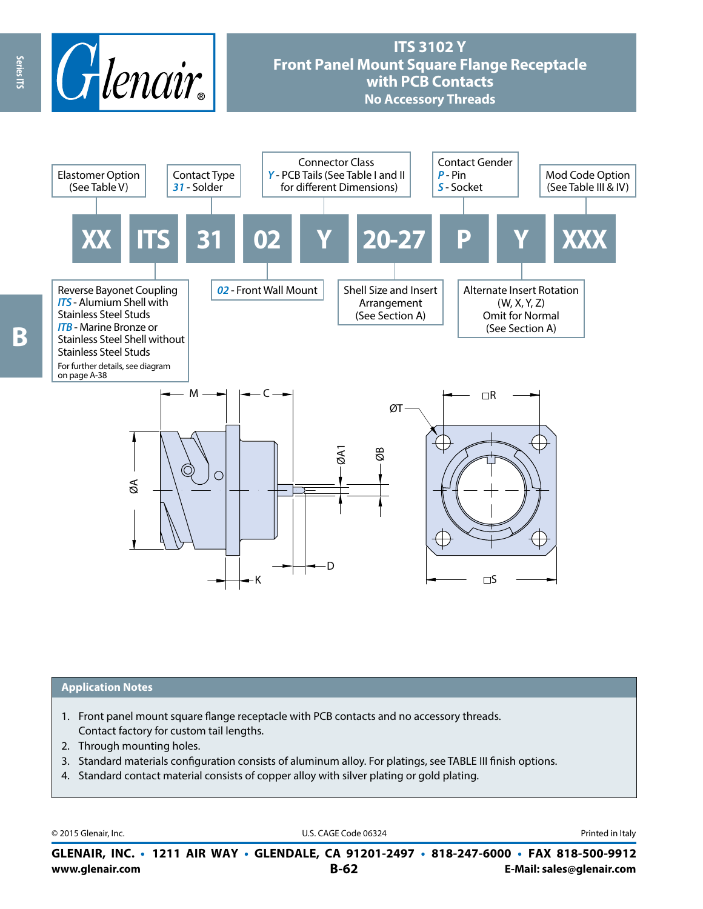

# **ITS 3102 Y Front Panel Mount Square Flange Receptacle with PCB Contacts No Accessory Threads**



### **Application Notes**

- 1. Front panel mount square flange receptacle with PCB contacts and no accessory threads. Contact factory for custom tail lengths.
- 2. Through mounting holes.
- 3. Standard materials configuration consists of aluminum alloy. For platings, see TABLE III finish options.
- 4. Standard contact material consists of copper alloy with silver plating or gold plating.

© 2015 Glenair, Inc. **Discription Construction Construction Construction Construction Construction Construction Construction Construction Construction Construction Construction Construction Construction Construction Constr** 

**www.glenair.com B-62 E-Mail: sales@glenair.com GLENAIR, INC. • 1211 AIR WAY • GLENDALE, CA 91201-2497 • 818-247-6000 • FAX 818-500-9912**